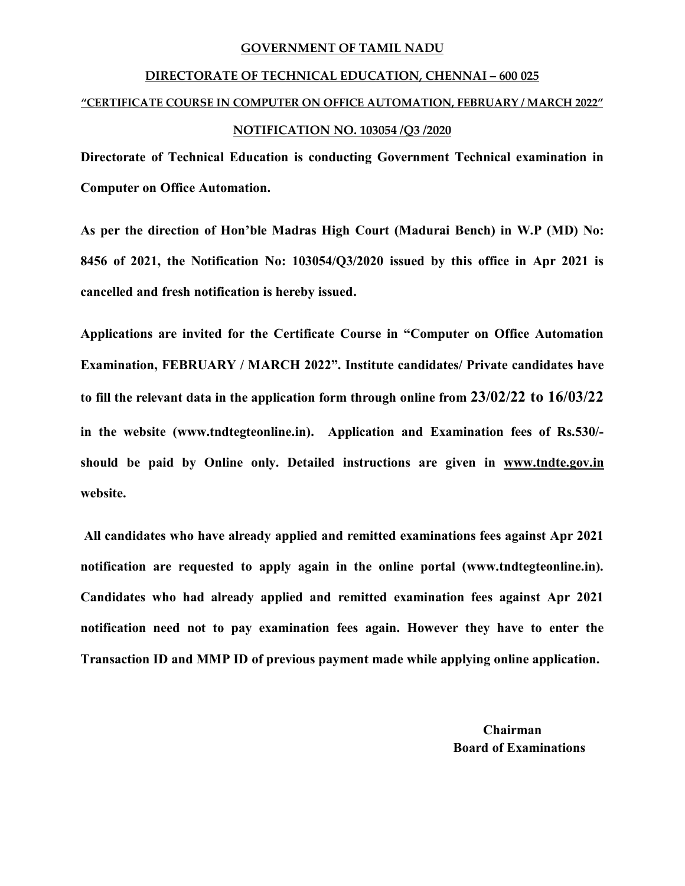#### **GOVERNMENT OF TAMIL NADU**

# **DIRECTORATE OF TECHNICAL EDUCATION, CHENNAI – 600 025 "CERTIFICATE COURSE IN COMPUTER ON OFFICE AUTOMATION, FEBRUARY / MARCH 2022" NOTIFICATION NO. 103054 /Q3 /2020**

**Directorate of Technical Education is conducting Government Technical examination in Computer on Office Automation.**

**As per the direction of Hon'ble Madras High Court (Madurai Bench) in W.P (MD) No: 8456 of 2021, the Notification No: 103054/Q3/2020 issued by this office in Apr 2021 is cancelled and fresh notification is hereby issued.** 

**Applications are invited for the Certificate Course in "Computer on Office Automation Examination, FEBRUARY / MARCH 2022". Institute candidates/ Private candidates have to fill the relevant data in the application form through online from 23/02/22 to 16/03/22 in the website ([www.tndtegteonline.in\).](http://www.tndtegteonline.in).) Application and Examination fees of Rs.530/ should be paid by Online only. Detailed instructions are given in [www.tndte.gov.in](http://www.tndte.gov.in) website.**

**All candidates who have already applied and remitted examinations fees against Apr 2021 notification are requested to apply again in the online portal ([www.tndtegteonline.in\).](http://www.tndtegteonline.in).) Candidates who had already applied and remitted examination fees against Apr 2021 notification need not to pay examination fees again. However they have to enter the Transaction ID and MMP ID of previous payment made while applying online application.**

> **Chairman Board of Examinations**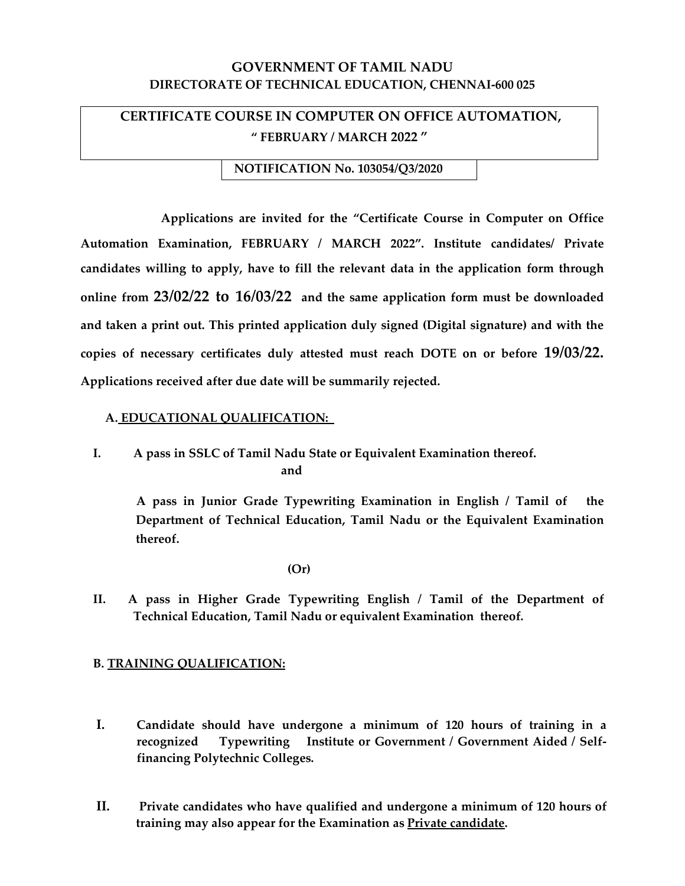# **GOVERNMENT OF TAMIL NADU DIRECTORATE OF TECHNICAL EDUCATION, CHENNAI-600 025**

# **CERTIFICATE COURSE IN COMPUTER ON OFFICE AUTOMATION, " FEBRUARY / MARCH 2022 "**

#### **NOTIFICATION No. 103054/Q3/2020**

 **Applications are invited for the "Certificate Course in Computer on Office Automation Examination, FEBRUARY / MARCH 2022". Institute candidates/ Private candidates willing to apply, have to fill the relevant data in the application form through online from 23/02/22 to 16/03/22 and the same application form must be downloaded and taken a print out. This printed application duly signed (Digital signature) and with the copies of necessary certificates duly attested must reach DOTE on or before 19/03/22. Applications received after due date will be summarily rejected.** 

#### **A. EDUCATIONAL QUALIFICATION:**

# **I. A pass in SSLC of Tamil Nadu State or Equivalent Examination thereof.**  *and* **and**

 **A pass in Junior Grade Typewriting Examination in English / Tamil of the Department of Technical Education, Tamil Nadu or the Equivalent Examination thereof.**

**(Or)**

**II. A pass in Higher Grade Typewriting English / Tamil of the Department of Technical Education, Tamil Nadu or equivalent Examination thereof.**

#### **B. TRAINING QUALIFICATION:**

- **I. Candidate should have undergone a minimum of 120 hours of training in a recognized Typewriting Institute or Government / Government Aided / Selffinancing Polytechnic Colleges.**
- **II. Private candidates who have qualified and undergone a minimum of 120 hours of training may also appear for the Examination as Private candidate.**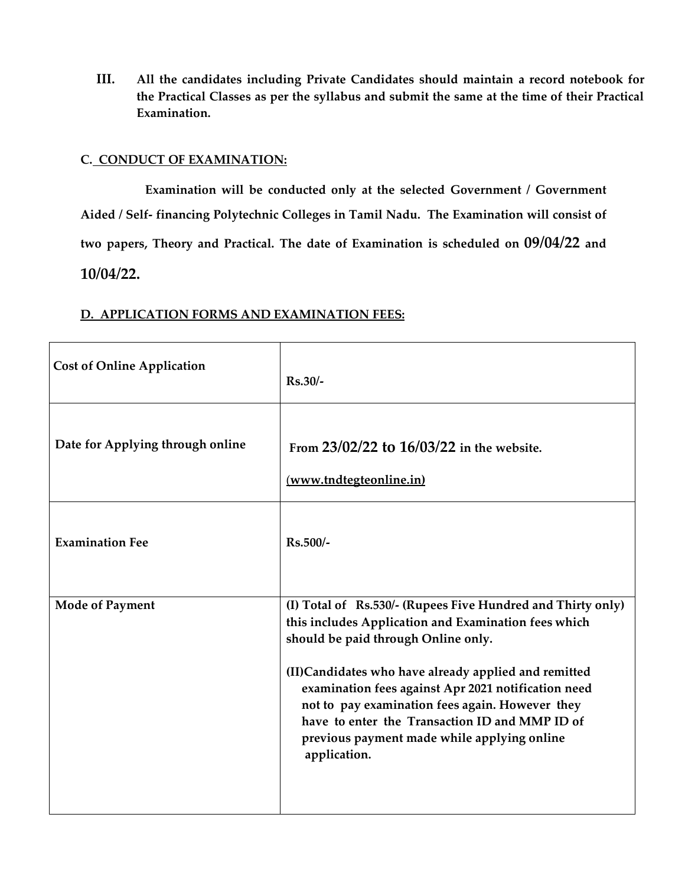**III. All the candidates including Private Candidates should maintain a record notebook for the Practical Classes as per the syllabus and submit the same at the time of their Practical Examination.** 

#### **C. CONDUCT OF EXAMINATION:**

 **Examination will be conducted only at the selected Government / Government Aided / Self- financing Polytechnic Colleges in Tamil Nadu. The Examination will consist of two papers, Theory and Practical. The date of Examination is scheduled on 09/04/22 and 10/04/22.**

| <b>Cost of Online Application</b> | $Rs.30/-$                                                                                                                                                                                                                                                                                                                                                                                                                                     |
|-----------------------------------|-----------------------------------------------------------------------------------------------------------------------------------------------------------------------------------------------------------------------------------------------------------------------------------------------------------------------------------------------------------------------------------------------------------------------------------------------|
| Date for Applying through online  | From 23/02/22 to 16/03/22 in the website.<br>(www.tndtegteonline.in)                                                                                                                                                                                                                                                                                                                                                                          |
| <b>Examination Fee</b>            | $Rs.500/-$                                                                                                                                                                                                                                                                                                                                                                                                                                    |
| <b>Mode of Payment</b>            | (I) Total of Rs.530/- (Rupees Five Hundred and Thirty only)<br>this includes Application and Examination fees which<br>should be paid through Online only.<br>(II)Candidates who have already applied and remitted<br>examination fees against Apr 2021 notification need<br>not to pay examination fees again. However they<br>have to enter the Transaction ID and MMP ID of<br>previous payment made while applying online<br>application. |

#### **D. APPLICATION FORMS AND EXAMINATION FEES:**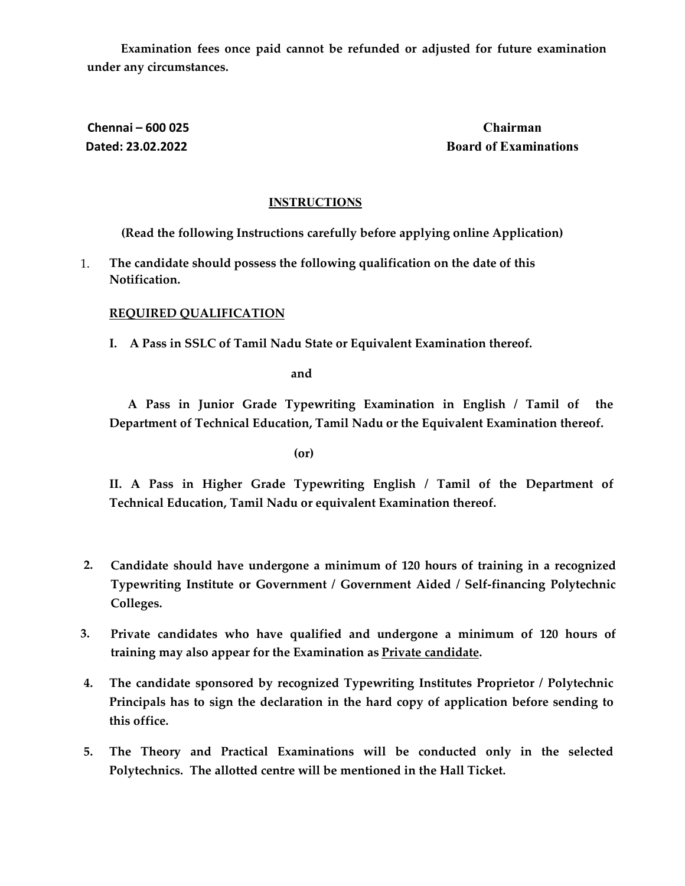**Examination fees once paid cannot be refunded or adjusted for future examination under any circumstances.**

# **Chennai – 600 025 Chairman**

**Dated: 23.02.2022 Board of Examinations**

#### **INSTRUCTIONS**

**(Read the following Instructions carefully before applying online Application)**

1. **The candidate should possess the following qualification on the date of this Notification.**

### **REQUIRED QUALIFICATION**

**I. A Pass in SSLC of Tamil Nadu State or Equivalent Examination thereof.**

*and* **and** 

 **A Pass in Junior Grade Typewriting Examination in English / Tamil of the Department of Technical Education, Tamil Nadu or the Equivalent Examination thereof.**

 **(or)**

**II. A Pass in Higher Grade Typewriting English / Tamil of the Department of Technical Education, Tamil Nadu or equivalent Examination thereof.**

- **2. Candidate should have undergone a minimum of 120 hours of training in a recognized Typewriting Institute or Government / Government Aided / Self-financing Polytechnic Colleges.**
- **3. Private candidates who have qualified and undergone a minimum of 120 hours of training may also appear for the Examination as Private candidate.**
- **4. The candidate sponsored by recognized Typewriting Institutes Proprietor / Polytechnic Principals has to sign the declaration in the hard copy of application before sending to this office.**
- **5. The Theory and Practical Examinations will be conducted only in the selected Polytechnics. The allotted centre will be mentioned in the Hall Ticket.**